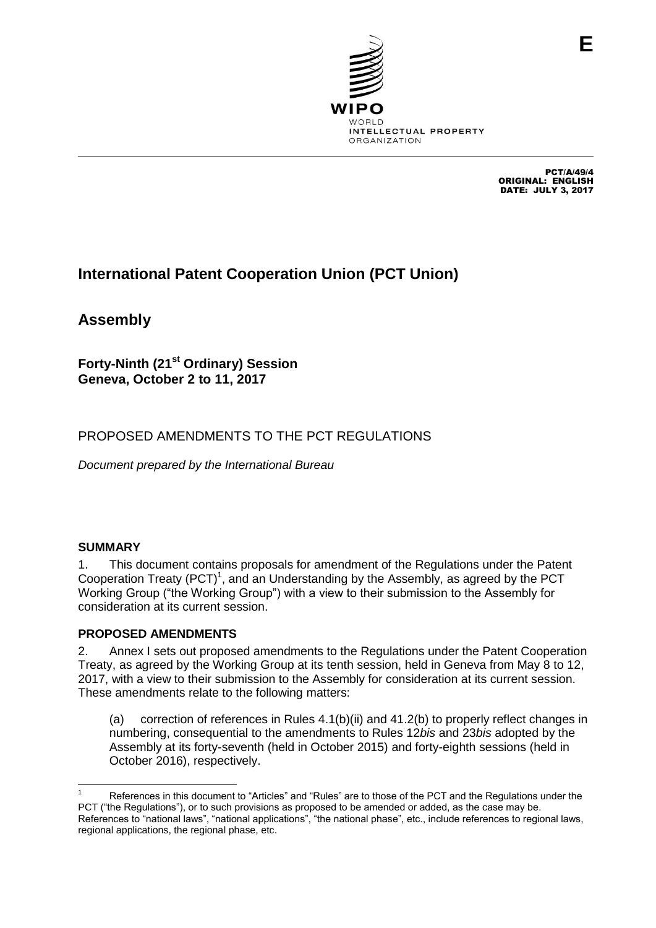

PCT/A/49/4 ORIGINAL: ENGLISH DATE: JULY 3, 2017

# **International Patent Cooperation Union (PCT Union)**

**Assembly**

**Forty-Ninth (21st Ordinary) Session Geneva, October 2 to 11, 2017**

# PROPOSED AMENDMENTS TO THE PCT REGULATIONS

*Document prepared by the International Bureau*

#### **SUMMARY**

1. This document contains proposals for amendment of the Regulations under the Patent Cooperation Treaty (PCT)<sup>1</sup>, and an Understanding by the Assembly, as agreed by the PCT Working Group ("the Working Group") with a view to their submission to the Assembly for consideration at its current session.

#### **PROPOSED AMENDMENTS**

2. Annex I sets out proposed amendments to the Regulations under the Patent Cooperation Treaty, as agreed by the Working Group at its tenth session, held in Geneva from May 8 to 12, 2017, with a view to their submission to the Assembly for consideration at its current session. These amendments relate to the following matters:

(a) correction of references in Rules 4.1(b)(ii) and 41.2(b) to properly reflect changes in numbering, consequential to the amendments to Rules 12*bis* and 23*bis* adopted by the Assembly at its forty-seventh (held in October 2015) and forty-eighth sessions (held in October 2016), respectively.

 References in this document to "Articles" and "Rules" are to those of the PCT and the Regulations under the PCT ("the Regulations"), or to such provisions as proposed to be amended or added, as the case may be. References to "national laws", "national applications", "the national phase", etc., include references to regional laws, regional applications, the regional phase, etc.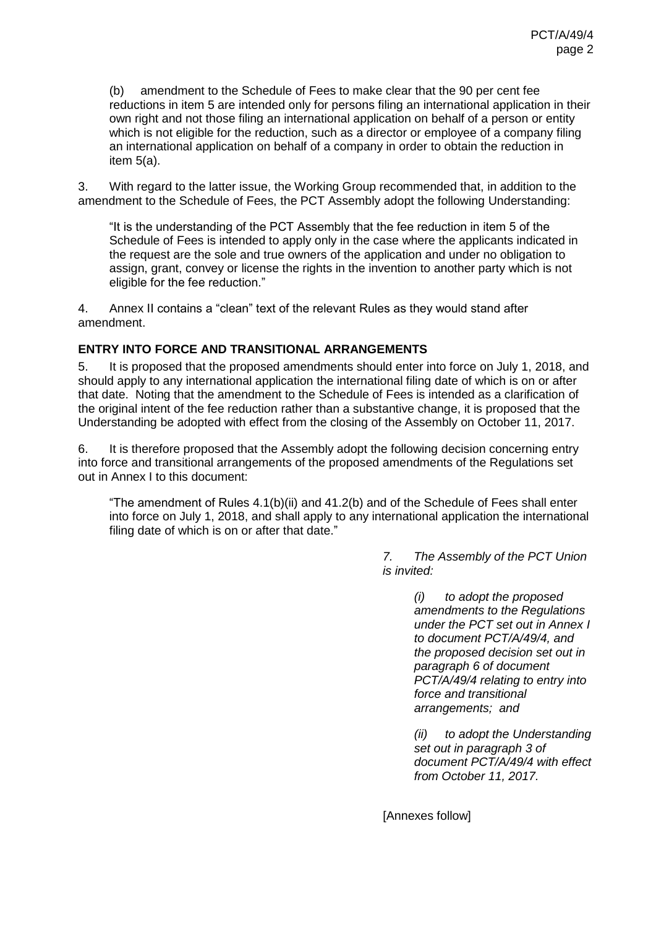(b) amendment to the Schedule of Fees to make clear that the 90 per cent fee reductions in item 5 are intended only for persons filing an international application in their own right and not those filing an international application on behalf of a person or entity which is not eligible for the reduction, such as a director or employee of a company filing an international application on behalf of a company in order to obtain the reduction in item 5(a).

<span id="page-1-1"></span>3. With regard to the latter issue, the Working Group recommended that, in addition to the amendment to the Schedule of Fees, the PCT Assembly adopt the following Understanding:

"It is the understanding of the PCT Assembly that the fee reduction in item 5 of the Schedule of Fees is intended to apply only in the case where the applicants indicated in the request are the sole and true owners of the application and under no obligation to assign, grant, convey or license the rights in the invention to another party which is not eligible for the fee reduction."

4. Annex II contains a "clean" text of the relevant Rules as they would stand after amendment.

#### **ENTRY INTO FORCE AND TRANSITIONAL ARRANGEMENTS**

5. It is proposed that the proposed amendments should enter into force on July 1, 2018, and should apply to any international application the international filing date of which is on or after that date. Noting that the amendment to the Schedule of Fees is intended as a clarification of the original intent of the fee reduction rather than a substantive change, it is proposed that the Understanding be adopted with effect from the closing of the Assembly on October 11, 2017.

<span id="page-1-0"></span>6. It is therefore proposed that the Assembly adopt the following decision concerning entry into force and transitional arrangements of the proposed amendments of the Regulations set out in Annex I to this document:

"The amendment of Rules 4.1(b)(ii) and 41.2(b) and of the Schedule of Fees shall enter into force on July 1, 2018, and shall apply to any international application the international filing date of which is on or after that date."

> *7. The Assembly of the PCT Union is invited:*

> > *(i) to adopt the proposed amendments to the Regulations under the PCT set out in Annex I to document PCT/A/49/4, and the proposed decision set out in paragraph [6](#page-1-0) of document PCT/A/49/4 relating to entry into force and transitional arrangements; and*

> > *(ii) to adopt the Understanding set out in paragraph [3](#page-1-1) of document PCT/A/49/4 with effect from October 11, 2017.*

[Annexes follow]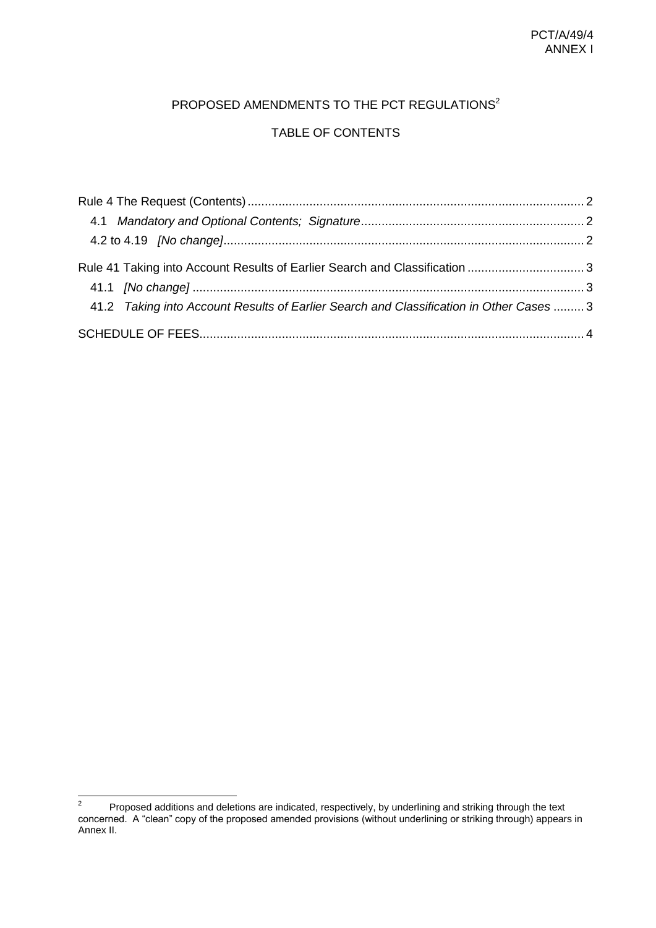# PROPOSED AMENDMENTS TO THE PCT REGULATIONS<sup>2</sup>

## TABLE OF CONTENTS

| Rule 41 Taking into Account Results of Earlier Search and Classification 3              |  |
|-----------------------------------------------------------------------------------------|--|
|                                                                                         |  |
| 41.2 Taking into Account Results of Earlier Search and Classification in Other Cases  3 |  |
|                                                                                         |  |

 $\frac{1}{2}$ Proposed additions and deletions are indicated, respectively, by underlining and striking through the text concerned. A "clean" copy of the proposed amended provisions (without underlining or striking through) appears in Annex II.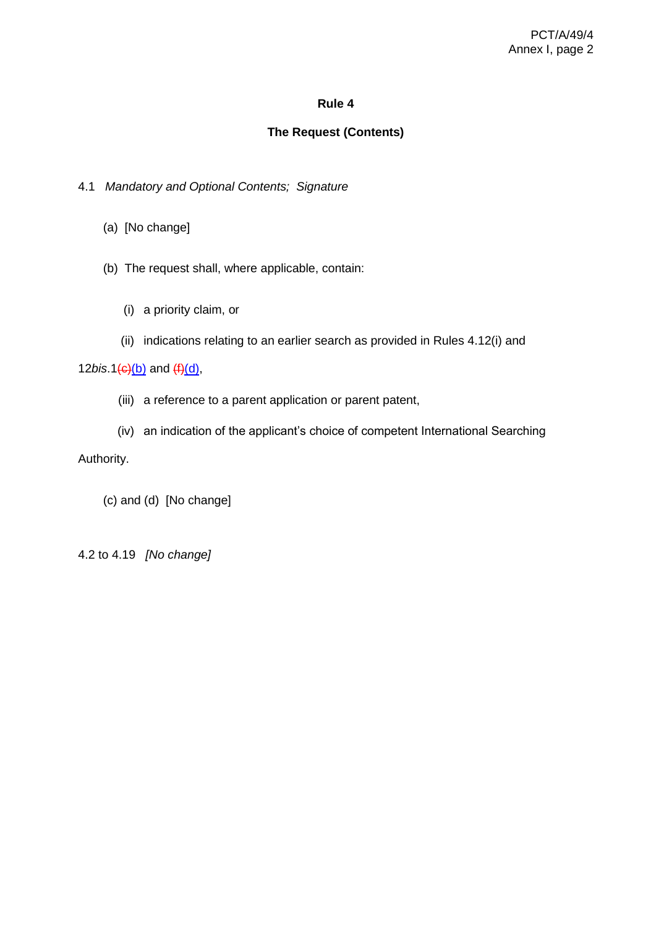### **The Request (Contents)**

- <span id="page-3-1"></span><span id="page-3-0"></span>4.1 *Mandatory and Optional Contents; Signature*
	- (a) [No change]
	- (b) The request shall, where applicable, contain:
		- (i) a priority claim, or
		- (ii) indications relating to an earlier search as provided in Rules 4.12(i) and

12*bis*.1(c)(b) and (f)(d),

- (iii) a reference to a parent application or parent patent,
- (iv) an indication of the applicant's choice of competent International Searching Authority.

(c) and (d) [No change]

<span id="page-3-2"></span>4.2 to 4.19 *[No change]*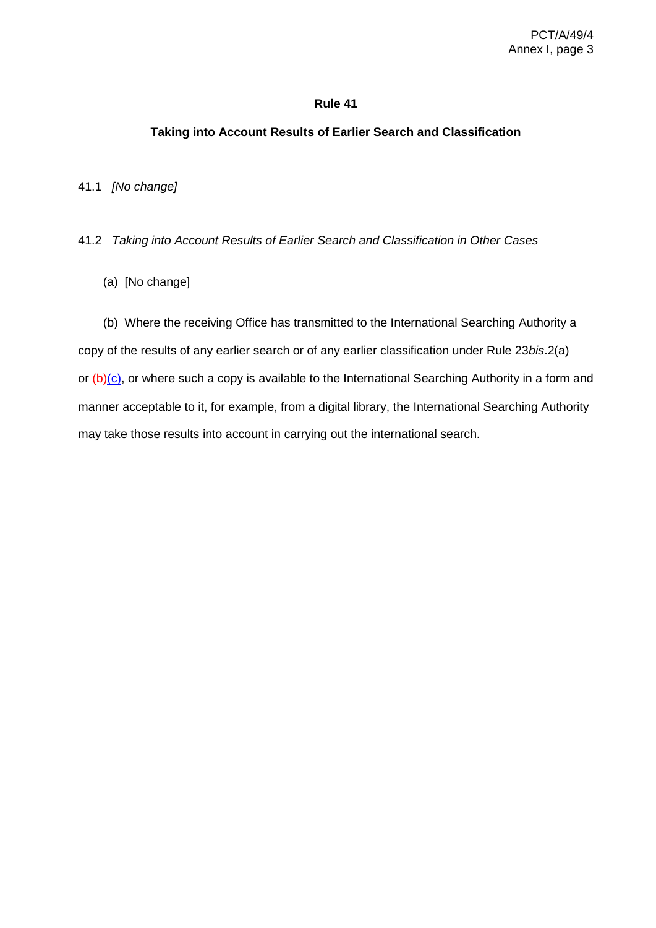#### <span id="page-4-0"></span>**Taking into Account Results of Earlier Search and Classification**

<span id="page-4-1"></span>41.1 *[No change]*

<span id="page-4-2"></span>41.2 *Taking into Account Results of Earlier Search and Classification in Other Cases*

(a) [No change]

(b) Where the receiving Office has transmitted to the International Searching Authority a copy of the results of any earlier search or of any earlier classification under Rule 23*bis*.2(a) or  $(b)(c)$ , or where such a copy is available to the International Searching Authority in a form and manner acceptable to it, for example, from a digital library, the International Searching Authority may take those results into account in carrying out the international search.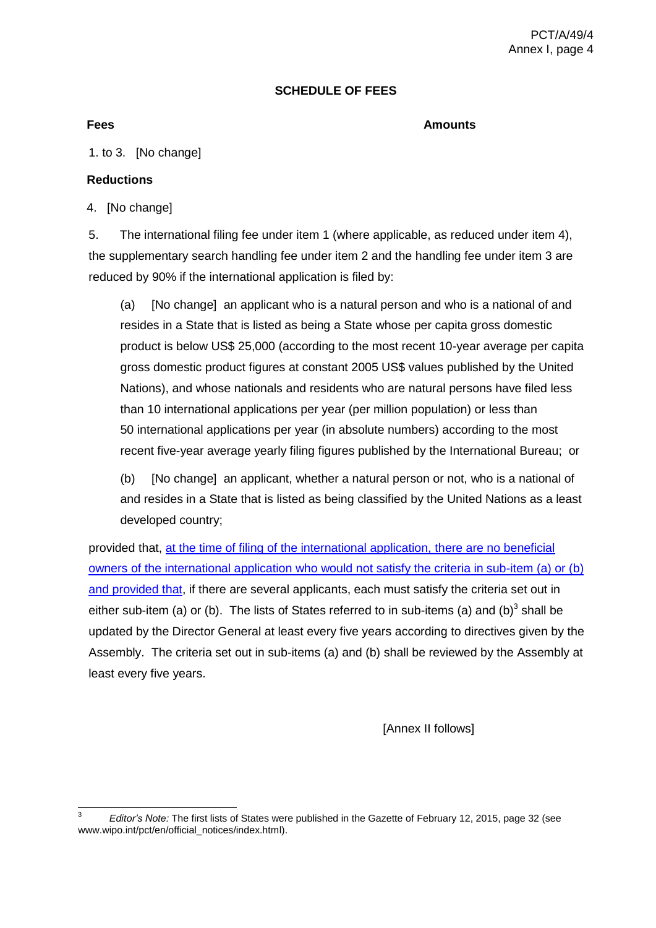#### **SCHEDULE OF FEES**

<span id="page-5-0"></span>**Fees Amounts**

1. to 3. [No change]

#### **Reductions**

4. [No change]

5. The international filing fee under item 1 (where applicable, as reduced under item 4), the supplementary search handling fee under item 2 and the handling fee under item 3 are reduced by 90% if the international application is filed by:

(a) [No change] an applicant who is a natural person and who is a national of and resides in a State that is listed as being a State whose per capita gross domestic product is below US\$ 25,000 (according to the most recent 10-year average per capita gross domestic product figures at constant 2005 US\$ values published by the United Nations), and whose nationals and residents who are natural persons have filed less than 10 international applications per year (per million population) or less than 50 international applications per year (in absolute numbers) according to the most recent five-year average yearly filing figures published by the International Bureau; or

(b) [No change] an applicant, whether a natural person or not, who is a national of and resides in a State that is listed as being classified by the United Nations as a least developed country;

provided that, at the time of filing of the international application, there are no beneficial owners of the international application who would not satisfy the criteria in sub-item (a) or (b) and provided that, if there are several applicants, each must satisfy the criteria set out in either sub-item (a) or (b). The lists of States referred to in sub-items (a) and (b)<sup>3</sup> shall be updated by the Director General at least every five years according to directives given by the Assembly. The criteria set out in sub-items (a) and (b) shall be reviewed by the Assembly at least every five years.

[Annex II follows]

 3 *Editor's Note:* The first lists of States were published in the Gazette of February 12, 2015, page 32 (see www.wipo.int/pct/en/official\_notices/index.html).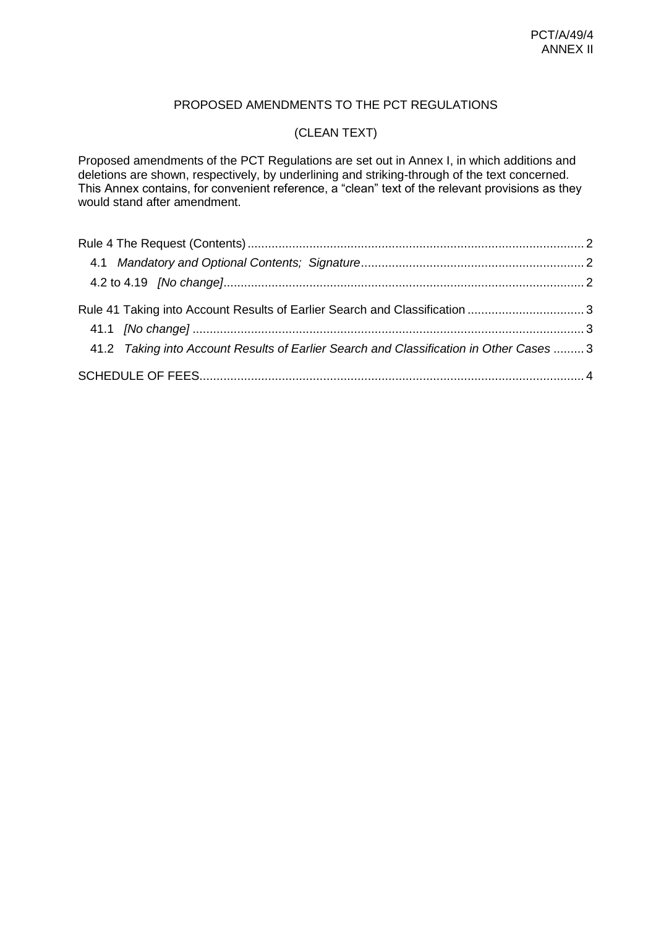## PROPOSED AMENDMENTS TO THE PCT REGULATIONS

# (CLEAN TEXT)

Proposed amendments of the PCT Regulations are set out in Annex I, in which additions and deletions are shown, respectively, by underlining and striking-through of the text concerned. This Annex contains, for convenient reference, a "clean" text of the relevant provisions as they would stand after amendment.

| Rule 41 Taking into Account Results of Earlier Search and Classification 3              |  |
|-----------------------------------------------------------------------------------------|--|
| 41.2 Taking into Account Results of Earlier Search and Classification in Other Cases  3 |  |
|                                                                                         |  |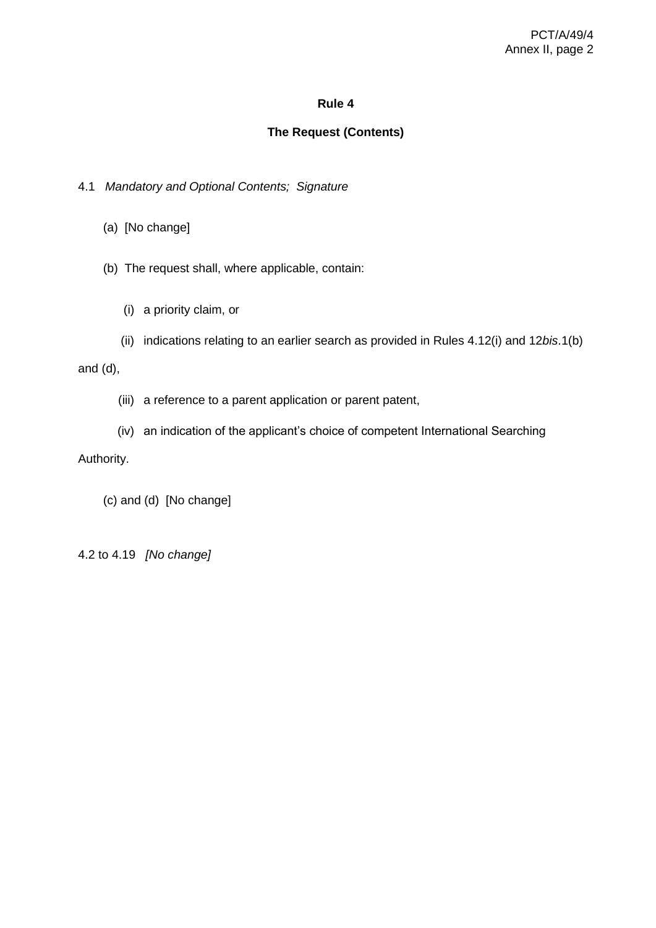### **The Request (Contents)**

- <span id="page-7-1"></span><span id="page-7-0"></span>4.1 *Mandatory and Optional Contents; Signature*
	- (a) [No change]
	- (b) The request shall, where applicable, contain:
		- (i) a priority claim, or
	- (ii) indications relating to an earlier search as provided in Rules 4.12(i) and 12*bis*.1(b)

and (d),

- (iii) a reference to a parent application or parent patent,
- (iv) an indication of the applicant's choice of competent International Searching

#### Authority.

(c) and (d) [No change]

<span id="page-7-2"></span>4.2 to 4.19 *[No change]*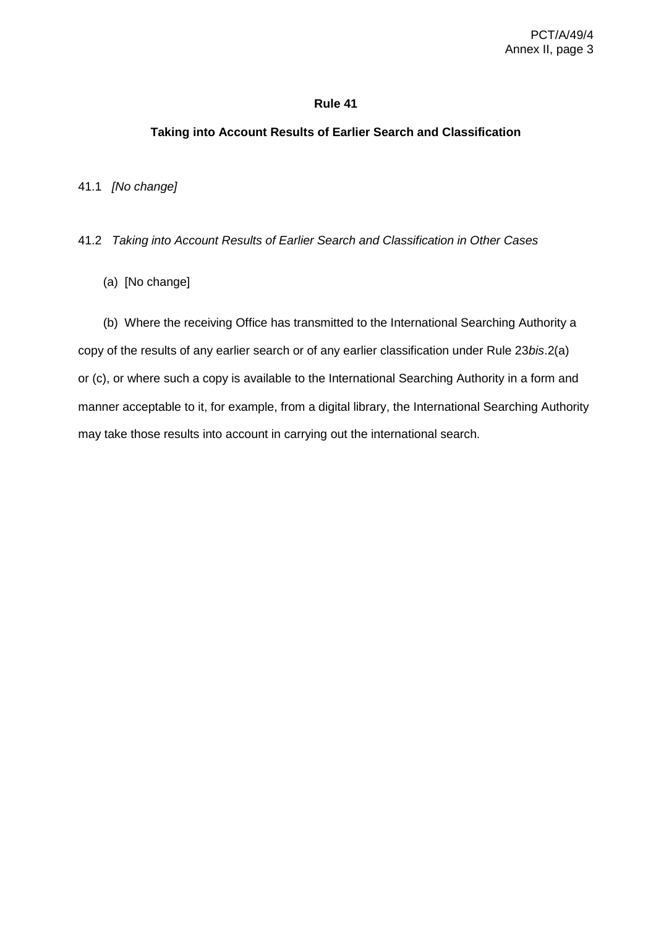#### <span id="page-8-0"></span>**Taking into Account Results of Earlier Search and Classification**

<span id="page-8-1"></span>41.1 *[No change]*

<span id="page-8-2"></span>41.2 *Taking into Account Results of Earlier Search and Classification in Other Cases*

(a) [No change]

(b) Where the receiving Office has transmitted to the International Searching Authority a copy of the results of any earlier search or of any earlier classification under Rule 23*bis*.2(a) or (c), or where such a copy is available to the International Searching Authority in a form and manner acceptable to it, for example, from a digital library, the International Searching Authority may take those results into account in carrying out the international search.